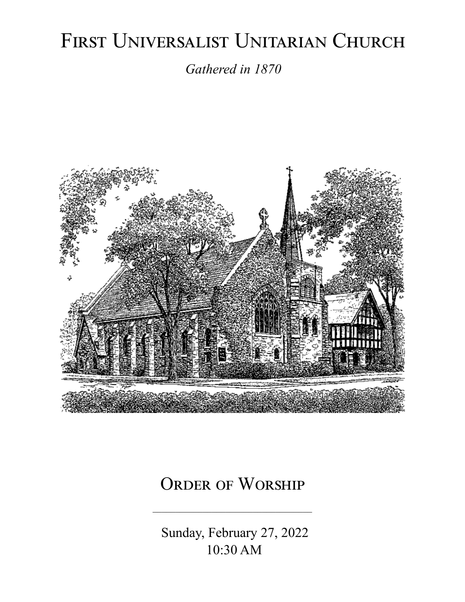# FIRST UNIVERSALIST UNITARIAN CHURCH

*Gathered in 1870*



# ORDER OF WORSHIP

 Sunday, February 27, 2022 10:30 AM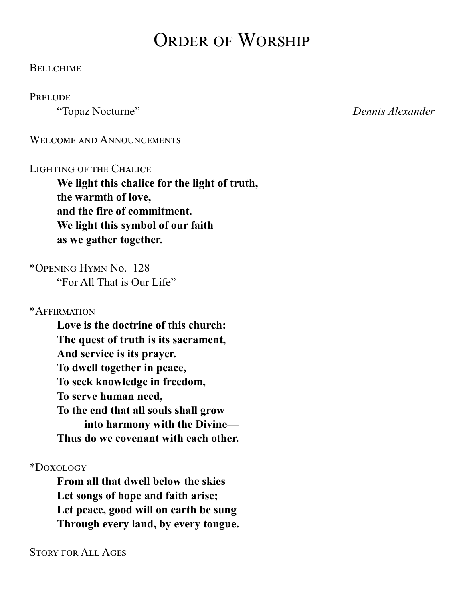# Order of Worship

#### **BELLCHIME**

#### **PRELUDE**

"Topaz Nocturne" *Dennis Alexander*

WELCOME AND ANNOUNCEMENTS

#### LIGHTING OF THE CHALICE

**We light this chalice for the light of truth, the warmth of love, and the fire of commitment. We light this symbol of our faith as we gather together.**

\*Opening Hymn No. 128 "For All That is Our Life"

\*Affirmation

**Love is the doctrine of this church: The quest of truth is its sacrament, And service is its prayer. To dwell together in peace, To seek knowledge in freedom, To serve human need, To the end that all souls shall grow into harmony with the Divine— Thus do we covenant with each other.**

\*Doxology

**From all that dwell below the skies Let songs of hope and faith arise; Let peace, good will on earth be sung Through every land, by every tongue.**

Story for All Ages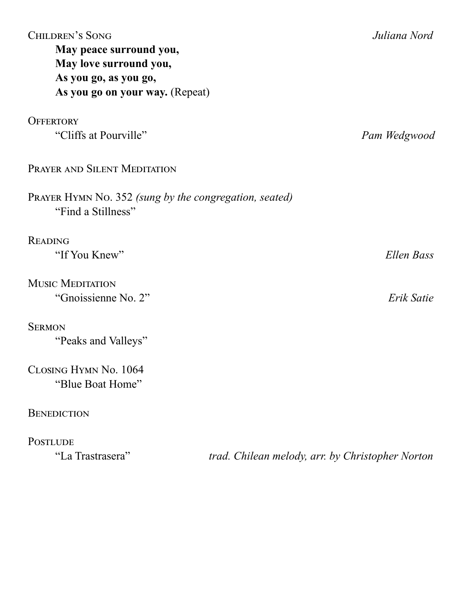| <b>CHILDREN'S SONG</b><br>May peace surround you,<br>May love surround you,<br>As you go, as you go,<br>As you go on your way. (Repeat) | Juliana Nord                                     |
|-----------------------------------------------------------------------------------------------------------------------------------------|--------------------------------------------------|
| <b>OFFERTORY</b><br>"Cliffs at Pourville"                                                                                               |                                                  |
|                                                                                                                                         | Pam Wedgwood                                     |
| PRAYER AND SILENT MEDITATION                                                                                                            |                                                  |
| PRAYER HYMN No. 352 (sung by the congregation, seated)<br>"Find a Stillness"                                                            |                                                  |
| <b>READING</b>                                                                                                                          |                                                  |
| "If You Knew"                                                                                                                           | Ellen Bass                                       |
| <b>MUSIC MEDITATION</b>                                                                                                                 |                                                  |
| "Gnoissienne No. 2"                                                                                                                     | Erik Satie                                       |
| <b>SERMON</b>                                                                                                                           |                                                  |
| "Peaks and Valleys"                                                                                                                     |                                                  |
| CLOSING HYMN No. 1064                                                                                                                   |                                                  |
| "Blue Boat Home"                                                                                                                        |                                                  |
| <b>BENEDICTION</b>                                                                                                                      |                                                  |
| <b>POSTLUDE</b>                                                                                                                         |                                                  |
| "La Trastrasera"                                                                                                                        | trad. Chilean melody, arr. by Christopher Norton |